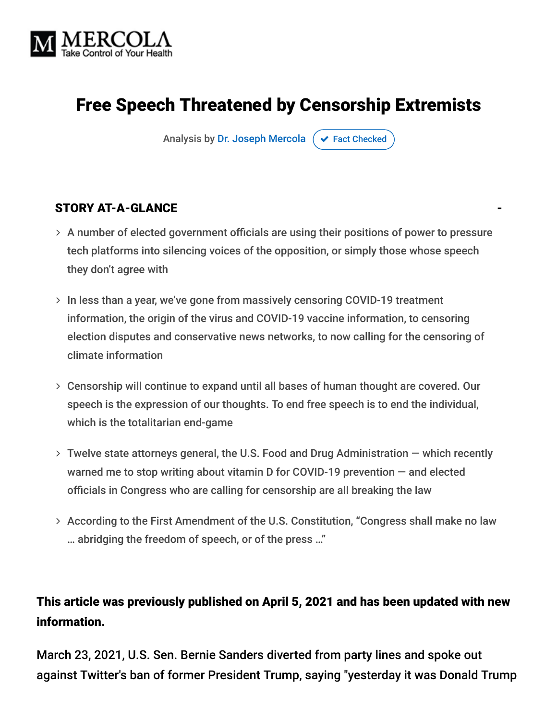

## Free Speech Threatened by Censorship Extremists

Analysis by [Dr. Joseph Mercola](https://www.mercola.com/forms/background.htm)  $\sigma$  [Fact Checked](javascript:void(0))

#### STORY AT-A-GLANCE

- $>$  A number of elected government officials are using their positions of power to pressure tech platforms into silencing voices of the opposition, or simply those whose speech they don't agree with
- $>$  In less than a year, we've gone from massively censoring COVID-19 treatment information, the origin of the virus and COVID-19 vaccine information, to censoring election disputes and conservative news networks, to now calling for the censoring of climate information
- Censorship will continue to expand until all bases of human thought are covered. Our speech is the expression of our thoughts. To end free speech is to end the individual, which is the totalitarian end-game
- Twelve state attorneys general, the U.S. Food and Drug Administration which recently warned me to stop writing about vitamin D for COVID-19 prevention — and elected officials in Congress who are calling for censorship are all breaking the law
- According to the First Amendment of the U.S. Constitution, "Congress shall make no law … abridging the freedom of speech, or of the press …"

#### This article was previously published on April 5, 2021 and has been updated with new information.

March 23, 2021, U.S. Sen. Bernie Sanders diverted from party lines and spoke out against Twitter's ban of former President Trump, saying "yesterday it was Donald Trump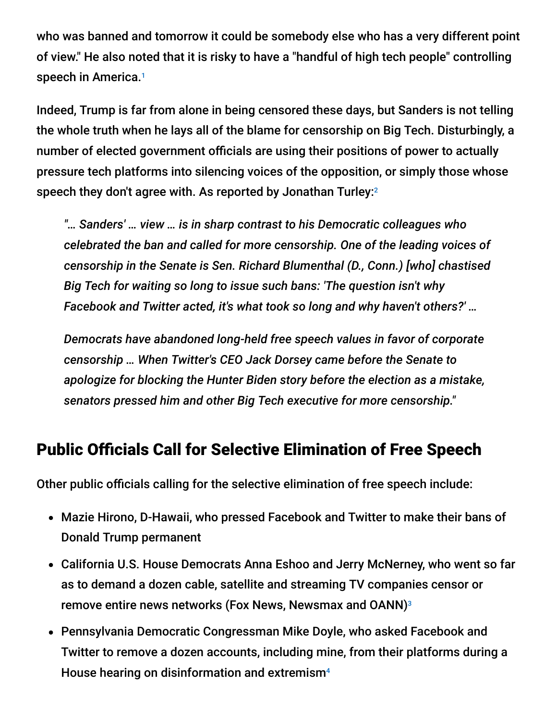who was banned and tomorrow it could be somebody else who has a very different point of view." He also noted that it is risky to have a "handful of high tech people" controlling speech in America. 1

Indeed, Trump is far from alone in being censored these days, but Sanders is not telling the whole truth when he lays all of the blame for censorship on Big Tech. Disturbingly, a number of elected government officials are using their positions of power to actually pressure tech platforms into silencing voices of the opposition, or simply those whose speech they don't agree with. As reported by Jonathan Turley: $^2$ 

*"… Sanders' … view … is in sharp contrast to his Democratic colleagues who celebrated the ban and called for more censorship. One of the leading voices of censorship in the Senate is Sen. Richard Blumenthal (D., Conn.) [who] chastised Big Tech for waiting so long to issue such bans: 'The question isn't why Facebook and Twitter acted, it's what took so long and why haven't others?' …*

*Democrats have abandoned long-held free speech values in favor of corporate censorship … When Twitter's CEO Jack Dorsey came before the Senate to apologize for blocking the Hunter Biden story before the election as a mistake, senators pressed him and other Big Tech executive for more censorship."*

### Public Officials Call for Selective Elimination of Free Speech

Other public officials calling for the selective elimination of free speech include:

- Mazie Hirono, D-Hawaii, who pressed Facebook and Twitter to make their bans of Donald Trump permanent
- California U.S. House Democrats Anna Eshoo and Jerry McNerney, who went so far as to demand a dozen cable, satellite and streaming TV companies censor or remove entire news networks (Fox News, Newsmax and OANN) 3
- Pennsylvania Democratic Congressman Mike Doyle, who asked Facebook and Twitter to remove a dozen accounts, including mine, from their platforms during a House hearing on disinformation and extremism<sup>4</sup>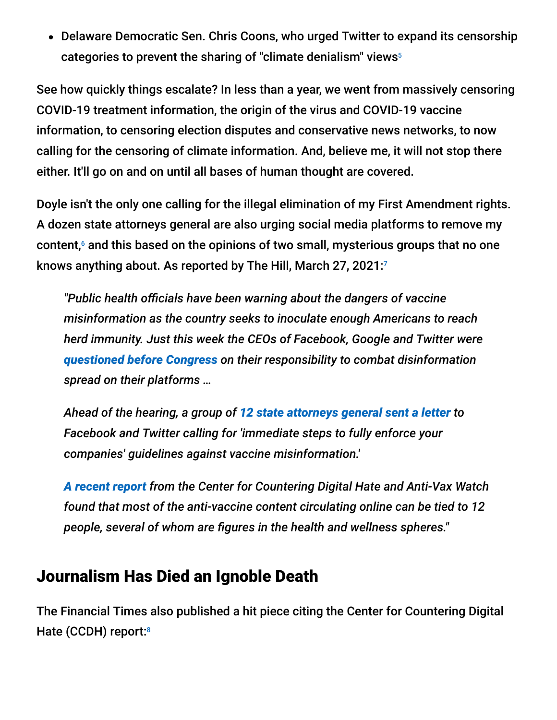• Delaware Democratic Sen. Chris Coons, who urged Twitter to expand its censorship categories to prevent the sharing of "climate denialism" views 5

See how quickly things escalate? In less than a year, we went from massively censoring COVID-19 treatment information, the origin of the virus and COVID-19 vaccine information, to censoring election disputes and conservative news networks, to now calling for the censoring of climate information. And, believe me, it will not stop there either. It'll go on and on until all bases of human thought are covered.

Doyle isn't the only one calling for the illegal elimination of my First Amendment rights. A dozen state attorneys general are also urging social media platforms to remove my content, $<sup>6</sup>$  and this based on the opinions of two small, mysterious groups that no one</sup> knows anything about. As reported by The Hill, March 27, 2021: 7

*"Public health officials have been warning about the dangers of vaccine misinformation as the country seeks to inoculate enough Americans to reach herd immunity. Just this week the CEOs of Facebook, Google and Twitter were [questioned before Congress](https://thehill.com/policy/technology/545017-lawmakers-grill-big-tech-ceos-on-misinformation-leading-to-capitol-riot) on their responsibility to combat disinformation spread on their platforms …*

*Ahead of the hearing, a group of [12 state attorneys general sent a letter](https://thehill.com/policy/technology/544789-12-state-attorneys-general-urge-facebook-twitter-to-do-more-on-vaccine) to Facebook and Twitter calling for 'immediate steps to fully enforce your companies' guidelines against vaccine misinformation.'*

*[A recent report](https://thehill.com/changing-america/well-being/prevention-cures/544712-twelve-anti-vaxxers-are-responsible-for-two) from the Center for Countering Digital Hate and Anti-Vax Watch found that most of the anti-vaccine content circulating online can be tied to 12 people, several of whom are figures in the health and wellness spheres."*

### Journalism Has Died an Ignoble Death

The Financial Times also published a hit piece citing the Center for Countering Digital Hate (CCDH) report:<sup>8</sup>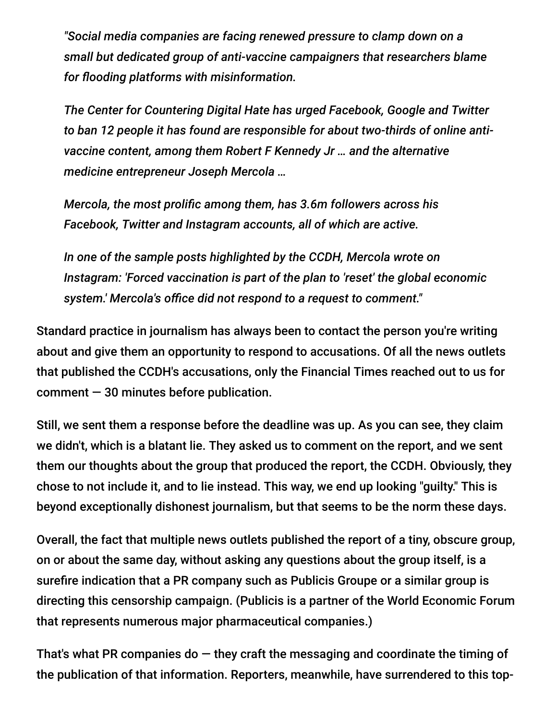*"Social media companies are facing renewed pressure to clamp down on a small but dedicated group of anti-vaccine campaigners that researchers blame for flooding platforms with misinformation.*

*The Center for Countering Digital Hate has urged Facebook, Google and Twitter to ban 12 people it has found are responsible for about two-thirds of online antivaccine content, among them Robert F Kennedy Jr … and the alternative medicine entrepreneur Joseph Mercola …*

*Mercola, the most prolific among them, has 3.6m followers across his Facebook, Twitter and Instagram accounts, all of which are active.*

*In one of the sample posts highlighted by the CCDH, Mercola wrote on Instagram: 'Forced vaccination is part of the plan to 'reset' the global economic system.' Mercola's office did not respond to a request to comment."*

Standard practice in journalism has always been to contact the person you're writing about and give them an opportunity to respond to accusations. Of all the news outlets that published the CCDH's accusations, only the Financial Times reached out to us for  $comment - 30$  minutes before publication.

Still, we sent them a response before the deadline was up. As you can see, they claim we didn't, which is a blatant lie. They asked us to comment on the report, and we sent them our thoughts about the group that produced the report, the CCDH. Obviously, they chose to not include it, and to lie instead. This way, we end up looking "guilty." This is beyond exceptionally dishonest journalism, but that seems to be the norm these days.

Overall, the fact that multiple news outlets published the report of a tiny, obscure group, on or about the same day, without asking any questions about the group itself, is a surefire indication that a PR company such as Publicis Groupe or a similar group is directing this censorship campaign. (Publicis is a partner of the World Economic Forum that represents numerous major pharmaceutical companies.)

That's what PR companies do  $-$  they craft the messaging and coordinate the timing of the publication of that information. Reporters, meanwhile, have surrendered to this top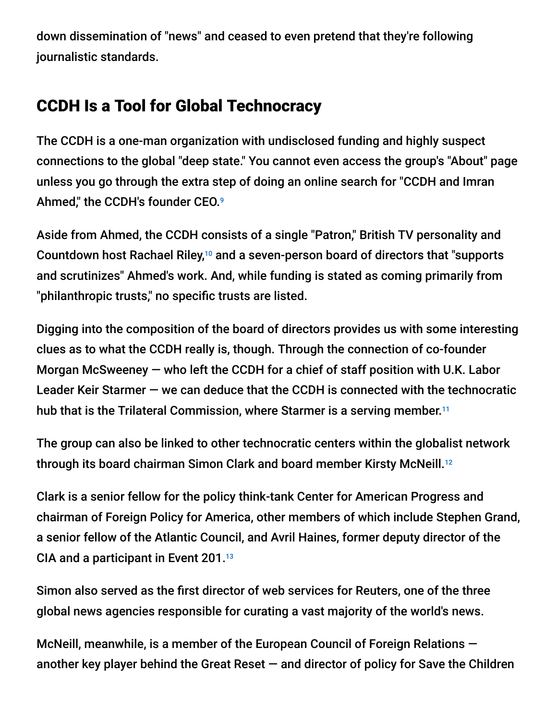down dissemination of "news" and ceased to even pretend that they're following journalistic standards.

### CCDH Is a Tool for Global Technocracy

The CCDH is a one-man organization with undisclosed funding and highly suspect connections to the global "deep state." You cannot even access the group's "About" page unless you go through the extra step of doing an online search for "CCDH and Imran Ahmed," the CCDH's founder CEO. 9

Aside from Ahmed, the CCDH consists of a single "Patron," British TV personality and Countdown host Rachael Riley, $10$  and a seven-person board of directors that "supports and scrutinizes" Ahmed's work. And, while funding is stated as coming primarily from "philanthropic trusts," no specific trusts are listed.

Digging into the composition of the board of directors provides us with some interesting clues as to what the CCDH really is, though. Through the connection of co-founder Morgan McSweeney — who left the CCDH for a chief of staff position with U.K. Labor Leader Keir Starmer — we can deduce that the CCDH is connected with the technocratic hub that is the Trilateral Commission, where Starmer is a serving member.<sup>11</sup>

The group can also be linked to other technocratic centers within the globalist network through its board chairman Simon Clark and board member Kirsty McNeill. 12

Clark is a senior fellow for the policy think-tank Center for American Progress and chairman of Foreign Policy for America, other members of which include Stephen Grand, a senior fellow of the Atlantic Council, and Avril Haines, former deputy director of the CIA and a participant in Event 201. 13

Simon also served as the first director of web services for Reuters, one of the three global news agencies responsible for curating a vast majority of the world's news.

McNeill, meanwhile, is a member of the European Council of Foreign Relations another key player behind the Great Reset  $-$  and director of policy for Save the Children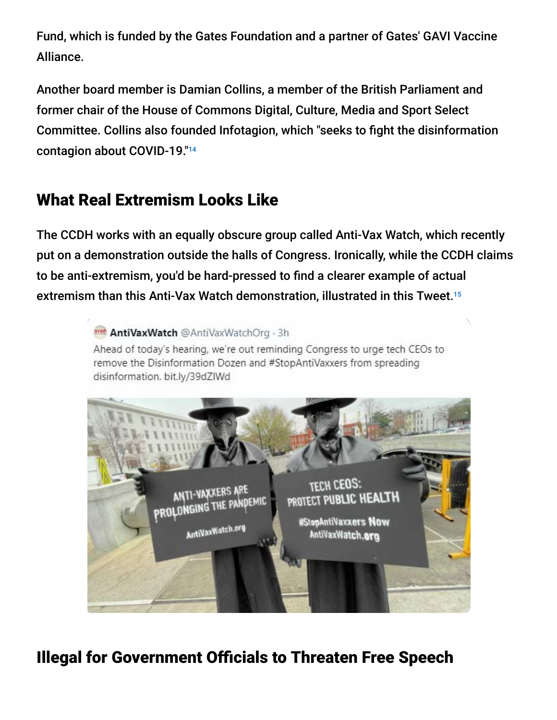Fund, which is funded by the Gates Foundation and a partner of Gates' GAVI Vaccine Alliance.

Another board member is Damian Collins, a member of the British Parliament and former chair of the House of Commons Digital, Culture, Media and Sport Select Committee. Collins also founded Infotagion, which "seeks to fight the disinformation contagion about COVID-19." 14

## What Real Extremism Looks Like

The CCDH works with an equally obscure group called Anti-Vax Watch, which recently put on a demonstration outside the halls of Congress. Ironically, while the CCDH claims to be anti-extremism, you'd be hard-pressed to find a clearer example of actual extremism than this Anti-Vax Watch demonstration, illustrated in this Tweet. 15

> Trer AntiVaxWatch @AntiVaxWatchOrg . 3h Ahead of today's hearing, we're out reminding Congress to urge tech CEOs to remove the Disinformation Dozen and #StopAntiVaxxers from spreading disinformation. bit.ly/39dZIWd



## Illegal for Government Officials to Threaten Free Speech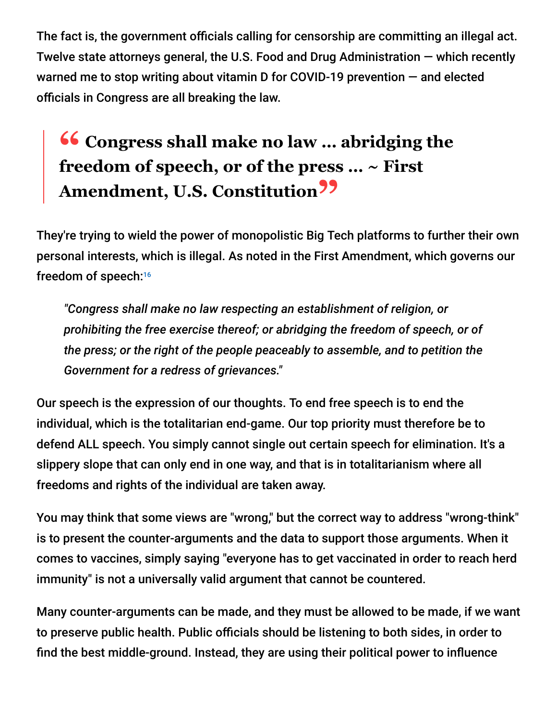The fact is, the government officials calling for censorship are committing an illegal act. Twelve state attorneys general, the U.S. Food and Drug Administration — which recently warned me to stop writing about vitamin D for COVID-19 prevention — and elected officials in Congress are all breaking the law.

# **<sup>66</sup>** Congress shall make no law ... abridging the  $\mathbf{f}$ **freedom of speech, or of the press … ~ First** Amendment, U.S. Constitution<sup>99</sup>

They're trying to wield the power of monopolistic Big Tech platforms to further their own personal interests, which is illegal. As noted in the First Amendment, which governs our freedom of speech: 16

*"Congress shall make no law respecting an establishment of religion, or prohibiting the free exercise thereof; or abridging the freedom of speech, or of the press; or the right of the people peaceably to assemble, and to petition the Government for a redress of grievances."*

Our speech is the expression of our thoughts. To end free speech is to end the individual, which is the totalitarian end-game. Our top priority must therefore be to defend ALL speech. You simply cannot single out certain speech for elimination. It's a slippery slope that can only end in one way, and that is in totalitarianism where all freedoms and rights of the individual are taken away.

You may think that some views are "wrong," but the correct way to address "wrong-think" is to present the counter-arguments and the data to support those arguments. When it comes to vaccines, simply saying "everyone has to get vaccinated in order to reach herd immunity" is not a universally valid argument that cannot be countered.

Many counter-arguments can be made, and they must be allowed to be made, if we want to preserve public health. Public officials should be listening to both sides, in order to find the best middle-ground. Instead, they are using their political power to influence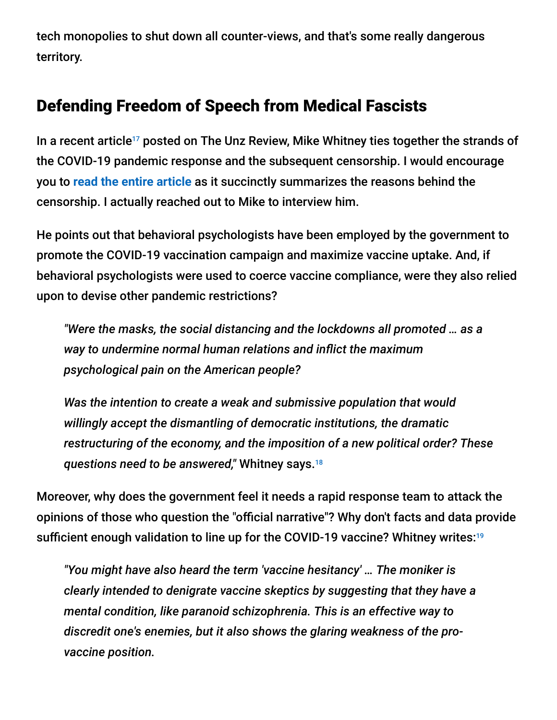tech monopolies to shut down all counter-views, and that's some really dangerous territory.

### Defending Freedom of Speech from Medical Fascists

In a recent article<sup>17</sup> posted on The Unz Review, Mike Whitney ties together the strands of the COVID-19 pandemic response and the subsequent censorship. I would encourage you to **[read the entire article](https://blogs.mercola.com/sites/vitalvotes/archive/2021/04/01/are-you-ready-to-be-an-outcast-for-refusing-the-covid-vaccine.aspx)** as it succinctly summarizes the reasons behind the censorship. I actually reached out to Mike to interview him.

He points out that behavioral psychologists have been employed by the government to promote the COVID-19 vaccination campaign and maximize vaccine uptake. And, if behavioral psychologists were used to coerce vaccine compliance, were they also relied upon to devise other pandemic restrictions?

*"Were the masks, the social distancing and the lockdowns all promoted … as a way to undermine normal human relations and inflict the maximum psychological pain on the American people?*

*Was the intention to create a weak and submissive population that would willingly accept the dismantling of democratic institutions, the dramatic restructuring of the economy, and the imposition of a new political order? These questions need to be answered,"* Whitney says. 18

Moreover, why does the government feel it needs a rapid response team to attack the opinions of those who question the "official narrative"? Why don't facts and data provide sufficient enough validation to line up for the COVID-19 vaccine? Whitney writes: 19

*"You might have also heard the term 'vaccine hesitancy' … The moniker is clearly intended to denigrate vaccine skeptics by suggesting that they have a mental condition, like paranoid schizophrenia. This is an effective way to discredit one's enemies, but it also shows the glaring weakness of the provaccine position.*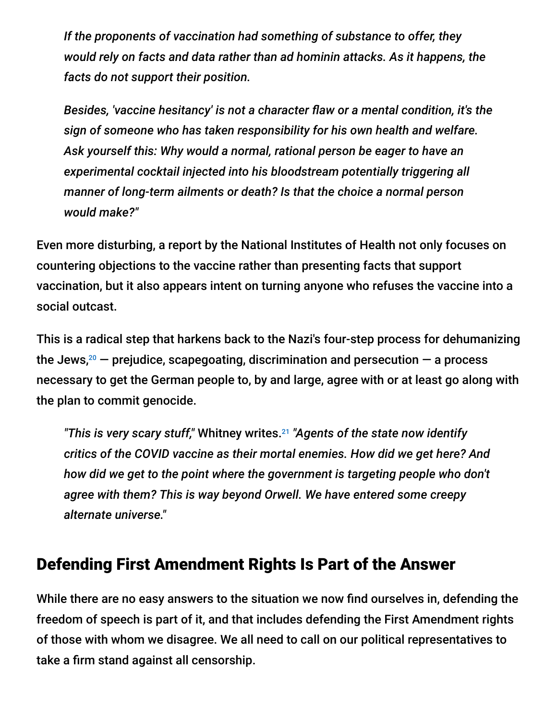*If the proponents of vaccination had something of substance to offer, they would rely on facts and data rather than ad hominin attacks. As it happens, the facts do not support their position.*

*Besides, 'vaccine hesitancy' is not a character flaw or a mental condition, it's the sign of someone who has taken responsibility for his own health and welfare. Ask yourself this: Why would a normal, rational person be eager to have an experimental cocktail injected into his bloodstream potentially triggering all manner of long-term ailments or death? Is that the choice a normal person would make?"*

Even more disturbing, a report by the National Institutes of Health not only focuses on countering objections to the vaccine rather than presenting facts that support vaccination, but it also appears intent on turning anyone who refuses the vaccine into a social outcast.

This is a radical step that harkens back to the Nazi's four-step process for dehumanizing the Jews, $^{20}$   $-$  prejudice, scapegoating, discrimination and persecution  $-$  a process necessary to get the German people to, by and large, agree with or at least go along with the plan to commit genocide.

"This is very scary stuff," Whitney writes.<sup>21</sup> "Agents of the state now identify *critics of the COVID vaccine as their mortal enemies. How did we get here? And how did we get to the point where the government is targeting people who don't agree with them? This is way beyond Orwell. We have entered some creepy alternate universe."*

### Defending First Amendment Rights Is Part of the Answer

While there are no easy answers to the situation we now find ourselves in, defending the freedom of speech is part of it, and that includes defending the First Amendment rights of those with whom we disagree. We all need to call on our political representatives to take a firm stand against all censorship.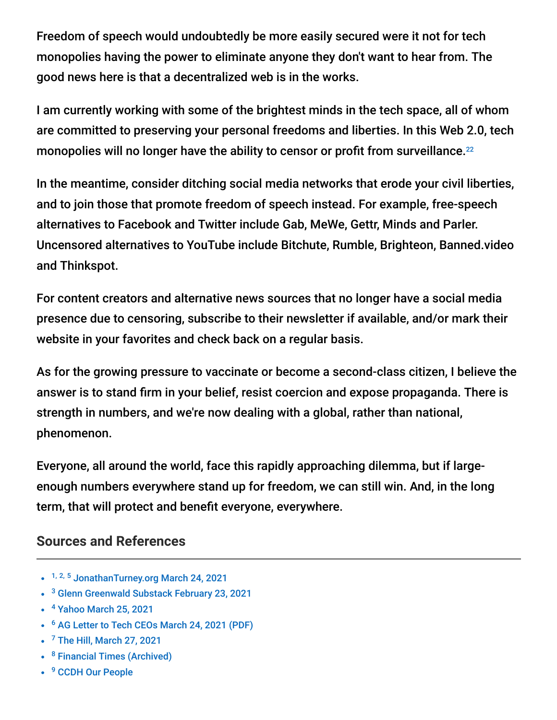Freedom of speech would undoubtedly be more easily secured were it not for tech monopolies having the power to eliminate anyone they don't want to hear from. The good news here is that a decentralized web is in the works.

I am currently working with some of the brightest minds in the tech space, all of whom are committed to preserving your personal freedoms and liberties. In this Web 2.0, tech monopolies will no longer have the ability to censor or profit from surveillance.<sup>22</sup>

In the meantime, consider ditching social media networks that erode your civil liberties, and to join those that promote freedom of speech instead. For example, free-speech alternatives to Facebook and Twitter include Gab, MeWe, Gettr, Minds and Parler. Uncensored alternatives to YouTube include Bitchute, Rumble, Brighteon, Banned.video and Thinkspot.

For content creators and alternative news sources that no longer have a social media presence due to censoring, subscribe to their newsletter if available, and/or mark their website in your favorites and check back on a regular basis.

As for the growing pressure to vaccinate or become a second-class citizen, I believe the answer is to stand firm in your belief, resist coercion and expose propaganda. There is strength in numbers, and we're now dealing with a global, rather than national, phenomenon.

Everyone, all around the world, face this rapidly approaching dilemma, but if largeenough numbers everywhere stand up for freedom, we can still win. And, in the long term, that will protect and benefit everyone, everywhere.

#### **Sources and References**

- <sup>1, 2, 5</sup> [JonathanTurney.org March 24, 2021](https://jonathanturley.org/2021/03/24/tomorrow-it-could-be-somebody-else-bernie-sanders-comes-out-against-trump-twitter-ban/)
- <sup>3</sup> [Glenn Greenwald Substack February 23, 2021](https://greenwald.substack.com/p/house-democrats-targeting-right-wing)
- <sup>4</sup> [Yahoo March 25, 2021](https://www.yahoo.com/now/social-media-ceos-hedge-whether-183017232.html)
- <sup>6</sup> [AG Letter to Tech CEOs March 24, 2021 \(PDF\)](https://drive.google.com/file/d/19g9jEHU6wm_an37TVPpTsO9txh9zztdY/view)
- $7$  [The Hill, March 27, 2021](https://thehill.com/changing-america/well-being/prevention-cures/545130-extremists-are-spreading-apocalyptic-warnings)
- <sup>8</sup> [Financial Times \(Archived\)](https://archive.is/CNbmQ)
- <sup>9</sup> [CCDH Our People](https://www.counterhate.com/our-people)